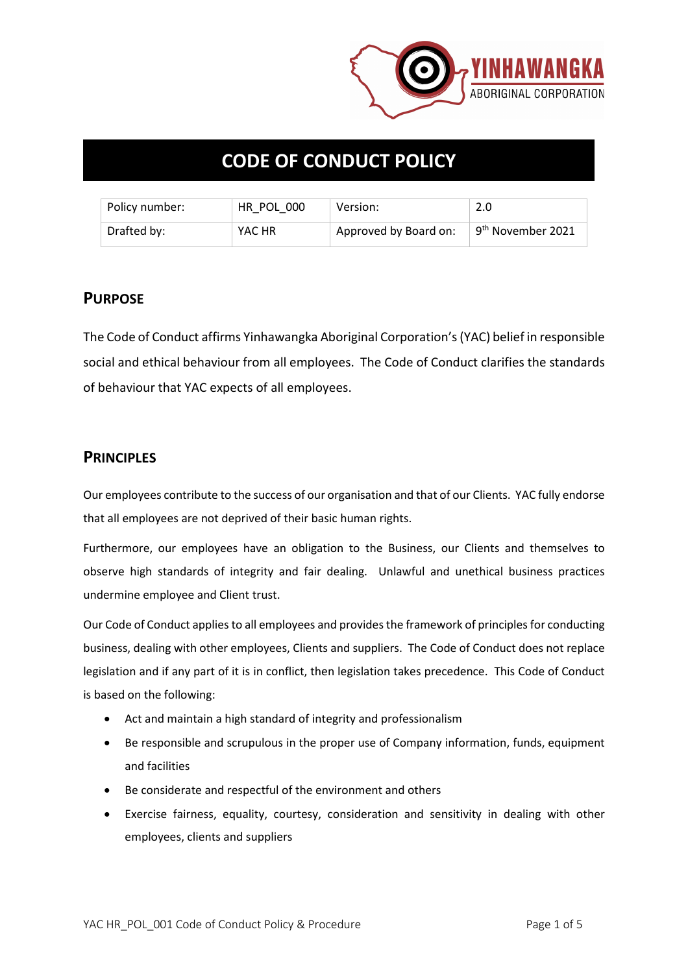

# **CODE OF CONDUCT POLICY**

| Policy number: | HR POL 000 | Version:              | 2.0                           |
|----------------|------------|-----------------------|-------------------------------|
| Drafted by:    | YAC HR     | Approved by Board on: | 9 <sup>th</sup> November 2021 |

#### **PURPOSE**

The Code of Conduct affirms Yinhawangka Aboriginal Corporation's (YAC) belief in responsible social and ethical behaviour from all employees. The Code of Conduct clarifies the standards of behaviour that YAC expects of all employees.

#### **PRINCIPLES**

Our employees contribute to the success of our organisation and that of our Clients. YAC fully endorse that all employees are not deprived of their basic human rights.

Furthermore, our employees have an obligation to the Business, our Clients and themselves to observe high standards of integrity and fair dealing. Unlawful and unethical business practices undermine employee and Client trust.

Our Code of Conduct applies to all employees and provides the framework of principles for conducting business, dealing with other employees, Clients and suppliers. The Code of Conduct does not replace legislation and if any part of it is in conflict, then legislation takes precedence. This Code of Conduct is based on the following:

- Act and maintain a high standard of integrity and professionalism
- Be responsible and scrupulous in the proper use of Company information, funds, equipment and facilities
- Be considerate and respectful of the environment and others
- Exercise fairness, equality, courtesy, consideration and sensitivity in dealing with other employees, clients and suppliers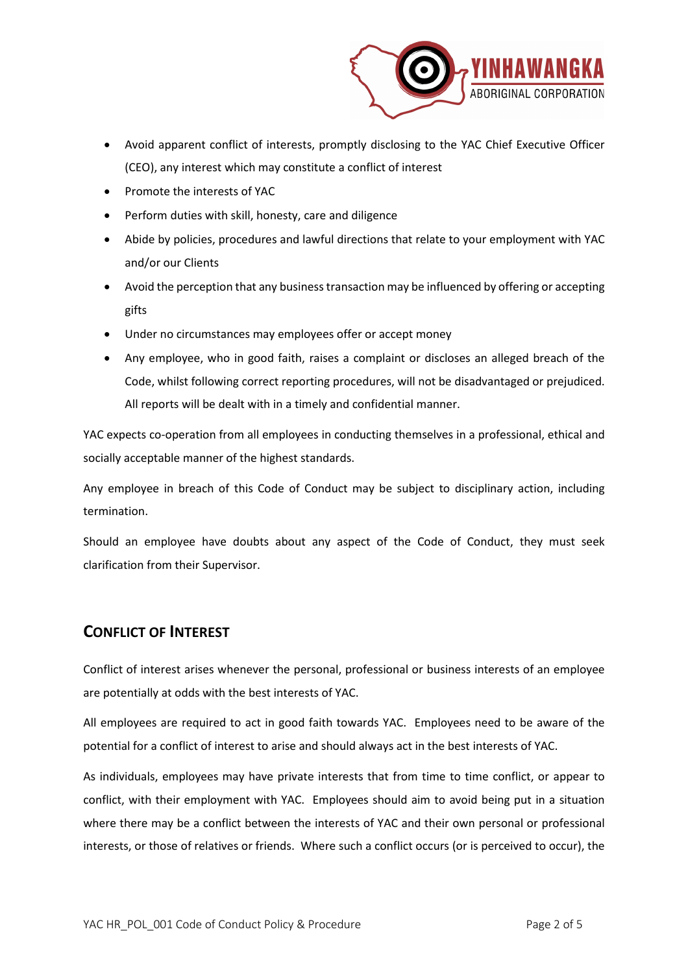

- Avoid apparent conflict of interests, promptly disclosing to the YAC Chief Executive Officer (CEO), any interest which may constitute a conflict of interest
- Promote the interests of YAC
- Perform duties with skill, honesty, care and diligence
- Abide by policies, procedures and lawful directions that relate to your employment with YAC and/or our Clients
- Avoid the perception that any business transaction may be influenced by offering or accepting gifts
- Under no circumstances may employees offer or accept money
- Any employee, who in good faith, raises a complaint or discloses an alleged breach of the Code, whilst following correct reporting procedures, will not be disadvantaged or prejudiced. All reports will be dealt with in a timely and confidential manner.

YAC expects co-operation from all employees in conducting themselves in a professional, ethical and socially acceptable manner of the highest standards.

Any employee in breach of this Code of Conduct may be subject to disciplinary action, including termination.

Should an employee have doubts about any aspect of the Code of Conduct, they must seek clarification from their Supervisor.

### **CONFLICT OF INTEREST**

Conflict of interest arises whenever the personal, professional or business interests of an employee are potentially at odds with the best interests of YAC.

All employees are required to act in good faith towards YAC. Employees need to be aware of the potential for a conflict of interest to arise and should always act in the best interests of YAC.

As individuals, employees may have private interests that from time to time conflict, or appear to conflict, with their employment with YAC. Employees should aim to avoid being put in a situation where there may be a conflict between the interests of YAC and their own personal or professional interests, or those of relatives or friends. Where such a conflict occurs (or is perceived to occur), the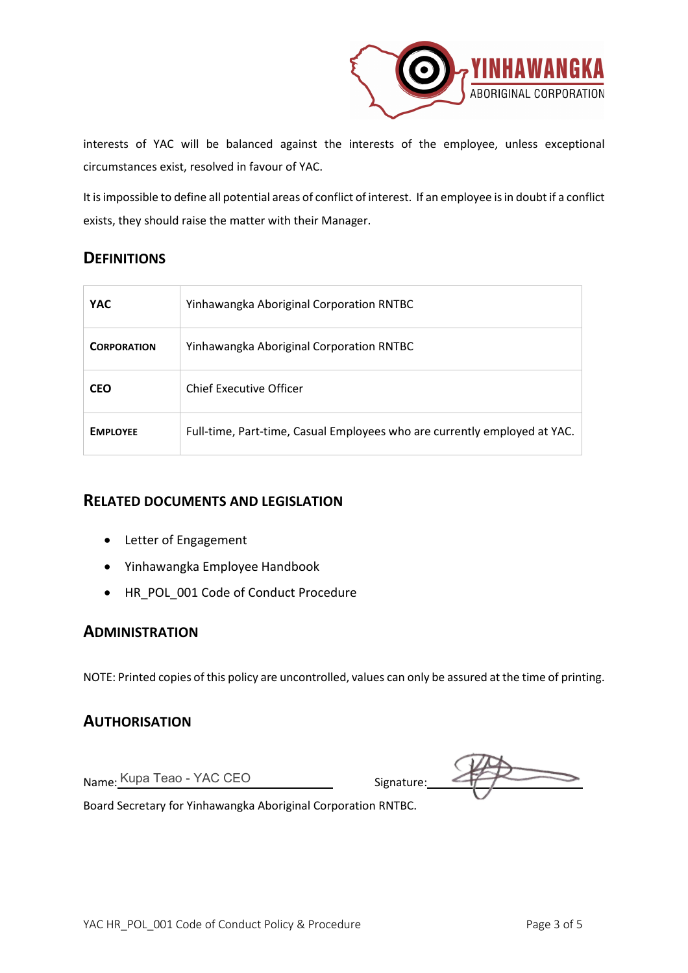

interests of YAC will be balanced against the interests of the employee, unless exceptional circumstances exist, resolved in favour of YAC.

It is impossible to define all potential areas of conflict of interest. If an employee is in doubt if a conflict exists, they should raise the matter with their Manager.

### **DEFINITIONS**

| <b>YAC</b>         | Yinhawangka Aboriginal Corporation RNTBC                                  |
|--------------------|---------------------------------------------------------------------------|
| <b>CORPORATION</b> | Yinhawangka Aboriginal Corporation RNTBC                                  |
| <b>CEO</b>         | <b>Chief Executive Officer</b>                                            |
| <b>EMPLOYEE</b>    | Full-time, Part-time, Casual Employees who are currently employed at YAC. |

#### **RELATED DOCUMENTS AND LEGISLATION**

- Letter of Engagement
- Yinhawangka Employee Handbook
- HR\_POL\_001 Code of Conduct Procedure

#### **ADMINISTRATION**

NOTE: Printed copies of this policy are uncontrolled, values can only be assured at the time of printing.

#### **AUTHORISATION**

Name: Kupa Teao - YAC CEO signature:

Board Secretary for Yinhawangka Aboriginal Corporation RNTBC.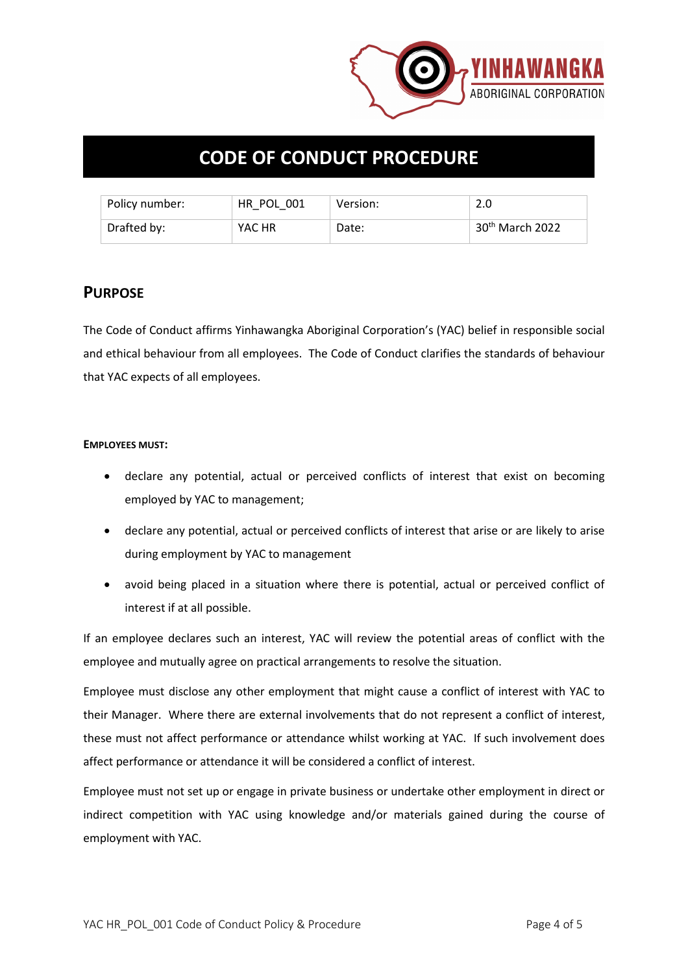

## **CODE OF CONDUCT PROCEDURE**

| Policy number: | HR POL 001 | Version: | 2.0                         |
|----------------|------------|----------|-----------------------------|
| Drafted by:    | YAC HR     | Date:    | 30 <sup>th</sup> March 2022 |

#### **PURPOSE**

The Code of Conduct affirms Yinhawangka Aboriginal Corporation's (YAC) belief in responsible social and ethical behaviour from all employees. The Code of Conduct clarifies the standards of behaviour that YAC expects of all employees.

#### **EMPLOYEES MUST:**

- declare any potential, actual or perceived conflicts of interest that exist on becoming employed by YAC to management;
- declare any potential, actual or perceived conflicts of interest that arise or are likely to arise during employment by YAC to management
- avoid being placed in a situation where there is potential, actual or perceived conflict of interest if at all possible.

If an employee declares such an interest, YAC will review the potential areas of conflict with the employee and mutually agree on practical arrangements to resolve the situation.

Employee must disclose any other employment that might cause a conflict of interest with YAC to their Manager. Where there are external involvements that do not represent a conflict of interest, these must not affect performance or attendance whilst working at YAC. If such involvement does affect performance or attendance it will be considered a conflict of interest.

Employee must not set up or engage in private business or undertake other employment in direct or indirect competition with YAC using knowledge and/or materials gained during the course of employment with YAC.